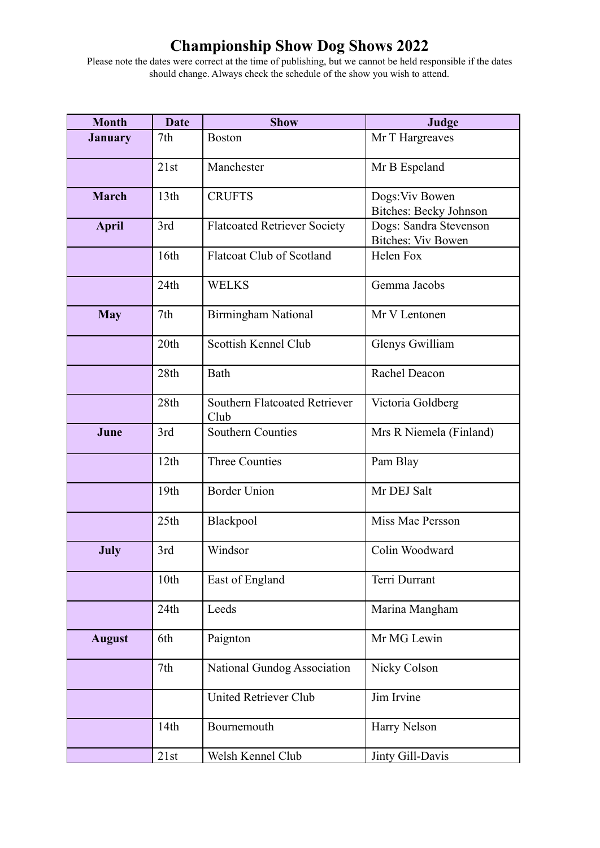# **Championship Show Dog Shows 2022**

Please note the dates were correct at the time of publishing, but we cannot be held responsible if the dates should change. Always check the schedule of the show you wish to attend.

| <b>Month</b>   | <b>Date</b>      | <b>Show</b>                                  | Judge                                               |
|----------------|------------------|----------------------------------------------|-----------------------------------------------------|
| <b>January</b> | 7th              | <b>Boston</b>                                | Mr T Hargreaves                                     |
|                | 21st             | Manchester                                   | Mr B Espeland                                       |
| <b>March</b>   | 13 <sup>th</sup> | <b>CRUFTS</b>                                | Dogs: Viv Bowen<br><b>Bitches: Becky Johnson</b>    |
| <b>April</b>   | 3rd              | <b>Flatcoated Retriever Society</b>          | Dogs: Sandra Stevenson<br><b>Bitches: Viv Bowen</b> |
|                | 16th             | <b>Flatcoat Club of Scotland</b>             | Helen Fox                                           |
|                | 24th             | <b>WELKS</b>                                 | Gemma Jacobs                                        |
| <b>May</b>     | 7th              | <b>Birmingham National</b>                   | Mr V Lentonen                                       |
|                | 20th             | Scottish Kennel Club                         | Glenys Gwilliam                                     |
|                | 28th             | Bath                                         | Rachel Deacon                                       |
|                | 28th             | <b>Southern Flatcoated Retriever</b><br>Club | Victoria Goldberg                                   |
| June           | 3rd              | <b>Southern Counties</b>                     | Mrs R Niemela (Finland)                             |
|                | 12th             | <b>Three Counties</b>                        | Pam Blay                                            |
|                | 19th             | <b>Border Union</b>                          | Mr DEJ Salt                                         |
|                | 25th             | Blackpool                                    | Miss Mae Persson                                    |
| July           | 3rd              | Windsor                                      | Colin Woodward                                      |
|                | 10th             | East of England                              | Terri Durrant                                       |
|                | 24th             | Leeds                                        | Marina Mangham                                      |
| <b>August</b>  | 6th              | Paignton                                     | Mr MG Lewin                                         |
|                | 7th              | National Gundog Association                  | Nicky Colson                                        |
|                |                  | <b>United Retriever Club</b>                 | Jim Irvine                                          |
|                | 14th             | Bournemouth                                  | Harry Nelson                                        |
|                | 21st             | Welsh Kennel Club                            | Jinty Gill-Davis                                    |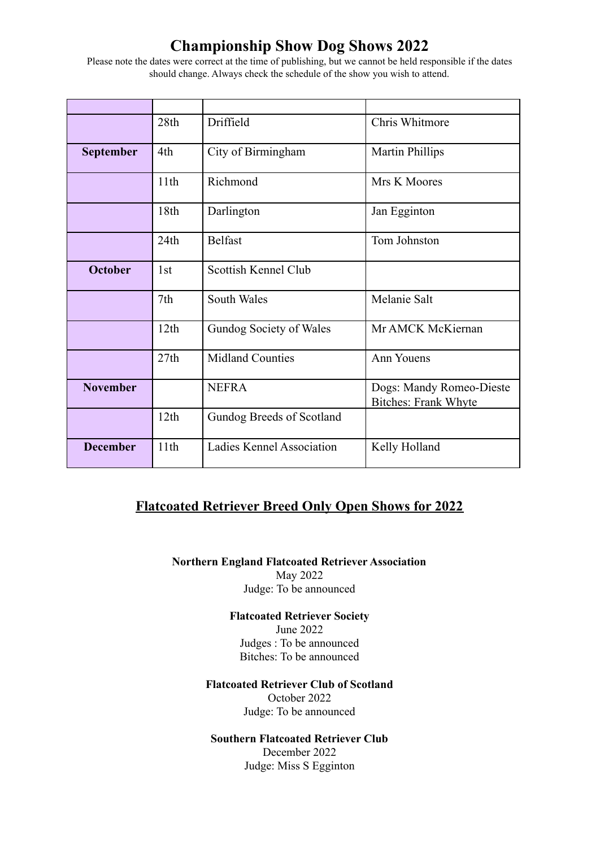# **Championship Show Dog Shows 2022**

Please note the dates were correct at the time of publishing, but we cannot be held responsible if the dates should change. Always check the schedule of the show you wish to attend.

|                  | 28th | Driffield                 | Chris Whitmore                                          |
|------------------|------|---------------------------|---------------------------------------------------------|
| <b>September</b> | 4th  | City of Birmingham        | <b>Martin Phillips</b>                                  |
|                  | 11th | Richmond                  | Mrs K Moores                                            |
|                  | 18th | Darlington                | Jan Egginton                                            |
|                  | 24th | <b>Belfast</b>            | Tom Johnston                                            |
| <b>October</b>   | 1st  | Scottish Kennel Club      |                                                         |
|                  | 7th  | South Wales               | Melanie Salt                                            |
|                  | 12th | Gundog Society of Wales   | Mr AMCK McKiernan                                       |
|                  | 27th | <b>Midland Counties</b>   | Ann Youens                                              |
| <b>November</b>  |      | <b>NEFRA</b>              | Dogs: Mandy Romeo-Dieste<br><b>Bitches: Frank Whyte</b> |
|                  | 12th | Gundog Breeds of Scotland |                                                         |
| <b>December</b>  | 11th | Ladies Kennel Association | Kelly Holland                                           |

### **Flatcoated Retriever Breed Only Open Shows for 2022**

**Northern England Flatcoated Retriever Association** May 2022 Judge: To be announced

> **Flatcoated Retriever Society** June 2022 Judges : To be announced Bitches: To be announced

#### **Flatcoated Retriever Club of Scotland**

October 2022 Judge: To be announced

#### **Southern Flatcoated Retriever Club**

December 2022 Judge: Miss S Egginton